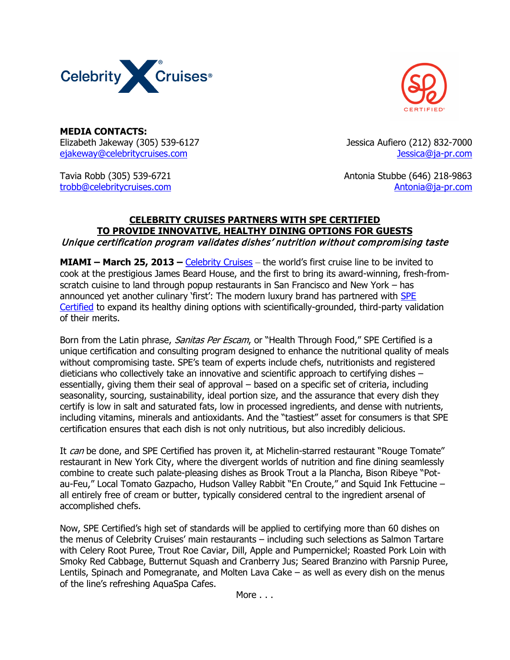



**MEDIA CONTACTS:** Elizabeth Jakeway (305) 539-6127 Jessica Aufiero (212) 832-7000 [ejakeway@celebritycruises.com](mailto:ejakeway@celebritycruises.com) [Jessica@ja-pr.com](mailto:Jessica@ja-pr.com)

Tavia Robb (305) 539-6721 Antonia Stubbe (646) 218-9863 [trobb@celebritycruises.com](mailto:trobb@celebritycruises.com) [Antonia@ja-pr.com](mailto:Antonia@ja-pr.com)

## **CELEBRITY CRUISES PARTNERS WITH SPE CERTIFIED TO PROVIDE INNOVATIVE, HEALTHY DINING OPTIONS FOR GUESTS** Unique certification program validates dishes' nutrition without compromising taste

**MIAMI – March 25, 2013 –** [Celebrity Cruises](http://www.celebritycruises.com/) – the world's first cruise line to be invited to cook at the prestigious James Beard House, and the first to bring its award-winning, fresh-fromscratch cuisine to land through popup restaurants in San Francisco and New York – has announced yet another culinary 'first': The modern luxury brand has partnered with [SPE](http://www.specertified.com/)  [Certified](http://www.specertified.com/) to expand its healthy dining options with scientifically-grounded, third-party validation of their merits.

Born from the Latin phrase, *Sanitas Per Escam*, or "Health Through Food," SPE Certified is a unique certification and consulting program designed to enhance the nutritional quality of meals without compromising taste. SPE's team of experts include chefs, nutritionists and registered dieticians who collectively take an innovative and scientific approach to certifying dishes – essentially, giving them their seal of approval – based on a specific set of criteria, including seasonality, sourcing, sustainability, ideal portion size, and the assurance that every dish they certify is low in salt and saturated fats, low in processed ingredients, and dense with nutrients, including vitamins, minerals and antioxidants. And the "tastiest" asset for consumers is that SPE certification ensures that each dish is not only nutritious, but also incredibly delicious.

It can be done, and SPE Certified has proven it, at Michelin-starred restaurant "Rouge Tomate" restaurant in New York City, where the divergent worlds of nutrition and fine dining seamlessly combine to create such palate-pleasing dishes as Brook Trout a la Plancha, Bison Ribeye "Potau-Feu," Local Tomato Gazpacho, Hudson Valley Rabbit "En Croute," and Squid Ink Fettucine – all entirely free of cream or butter, typically considered central to the ingredient arsenal of accomplished chefs.

Now, SPE Certified's high set of standards will be applied to certifying more than 60 dishes on the menus of Celebrity Cruises' main restaurants – including such selections as Salmon Tartare with Celery Root Puree, Trout Roe Caviar, Dill, Apple and Pumpernickel; Roasted Pork Loin with Smoky Red Cabbage, Butternut Squash and Cranberry Jus; Seared Branzino with Parsnip Puree, Lentils, Spinach and Pomegranate, and Molten Lava Cake – as well as every dish on the menus of the line's refreshing AquaSpa Cafes.